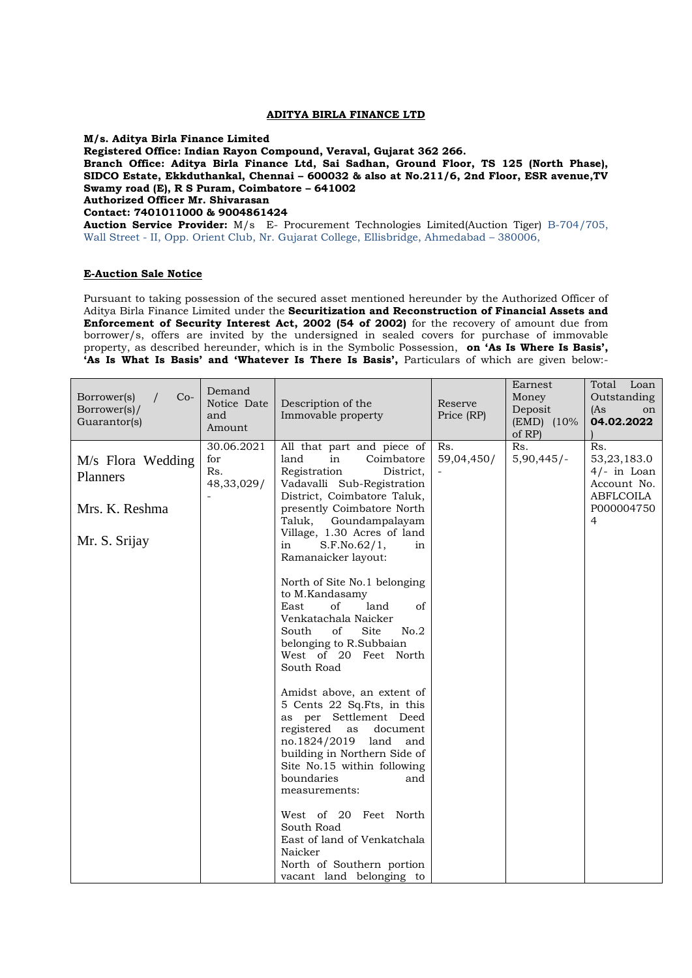## **ADITYA BIRLA FINANCE LTD**

**M/s. Aditya Birla Finance Limited** 

**Registered Office: Indian Rayon Compound, Veraval, Gujarat 362 266.**

**Branch Office: Aditya Birla Finance Ltd, Sai Sadhan, Ground Floor, TS 125 (North Phase), SIDCO Estate, Ekkduthankal, Chennai – 600032 & also at No.211/6, 2nd Floor, ESR avenue,TV Swamy road (E), R S Puram, Coimbatore – 641002 Authorized Officer Mr. Shivarasan Contact: 7401011000 & 9004861424**

**Auction Service Provider:** M/s E- Procurement Technologies Limited(Auction Tiger) B-704/705, Wall Street - II, Opp. Orient Club, Nr. Gujarat College, Ellisbridge, Ahmedabad – 380006,

## **E-Auction Sale Notice**

Pursuant to taking possession of the secured asset mentioned hereunder by the Authorized Officer of Aditya Birla Finance Limited under the **Securitization and Reconstruction of Financial Assets and Enforcement of Security Interest Act, 2002 (54 of 2002)** for the recovery of amount due from borrower/s, offers are invited by the undersigned in sealed covers for purchase of immovable property, as described hereunder, which is in the Symbolic Possession, **on 'As Is Where Is Basis', 'As Is What Is Basis' and 'Whatever Is There Is Basis',** Particulars of which are given below:-

| $Co-$<br>Borrower(s)<br>Borrower(s)/<br>Guarantor(s)             | Demand<br>Notice Date<br>and<br>Amount | Description of the<br>Immovable property                                                                                                                                                                                                                                                                                                                                                                                                                                                                                                                                                                                                                                                                                                                                                                                                                                                                | Reserve<br>Price (RP) | Earnest<br>Money<br>Deposit<br>(EMD) (10%<br>of RP) | Total Loan<br>Outstanding<br>(As<br>on<br>04.02.2022                               |
|------------------------------------------------------------------|----------------------------------------|---------------------------------------------------------------------------------------------------------------------------------------------------------------------------------------------------------------------------------------------------------------------------------------------------------------------------------------------------------------------------------------------------------------------------------------------------------------------------------------------------------------------------------------------------------------------------------------------------------------------------------------------------------------------------------------------------------------------------------------------------------------------------------------------------------------------------------------------------------------------------------------------------------|-----------------------|-----------------------------------------------------|------------------------------------------------------------------------------------|
| M/s Flora Wedding<br>Planners<br>Mrs. K. Reshma<br>Mr. S. Srijay | 30.06.2021<br>for<br>Rs.<br>48,33,029/ | All that part and piece of<br>land<br>in<br>Coimbatore<br>Registration<br>District,<br>Vadavalli Sub-Registration<br>District, Coimbatore Taluk,<br>presently Coimbatore North<br>Taluk,<br>Goundampalayam<br>Village, 1.30 Acres of land<br>S.F.No.62/1,<br>in<br>in<br>Ramanaicker layout:<br>North of Site No.1 belonging<br>to M.Kandasamy<br>of<br>land<br>of<br>East<br>Venkatachala Naicker<br>Site<br>No.2<br>South<br>of<br>belonging to R.Subbaian<br>West of 20 Feet North<br>South Road<br>Amidst above, an extent of<br>5 Cents 22 Sq.Fts, in this<br>as per Settlement Deed<br>registered<br>document<br>as<br>no.1824/2019<br>land<br>and<br>building in Northern Side of<br>Site No.15 within following<br>boundaries<br>and<br>measurements:<br>West of 20 Feet North<br>South Road<br>East of land of Venkatchala<br>Naicker<br>North of Southern portion<br>vacant land belonging to | Rs.<br>59,04,450/     | Rs.<br>$5,90,445/-$                                 | Rs.<br>53,23,183.0<br>$4/-$ in Loan<br>Account No.<br>ABFLCOILA<br>P000004750<br>4 |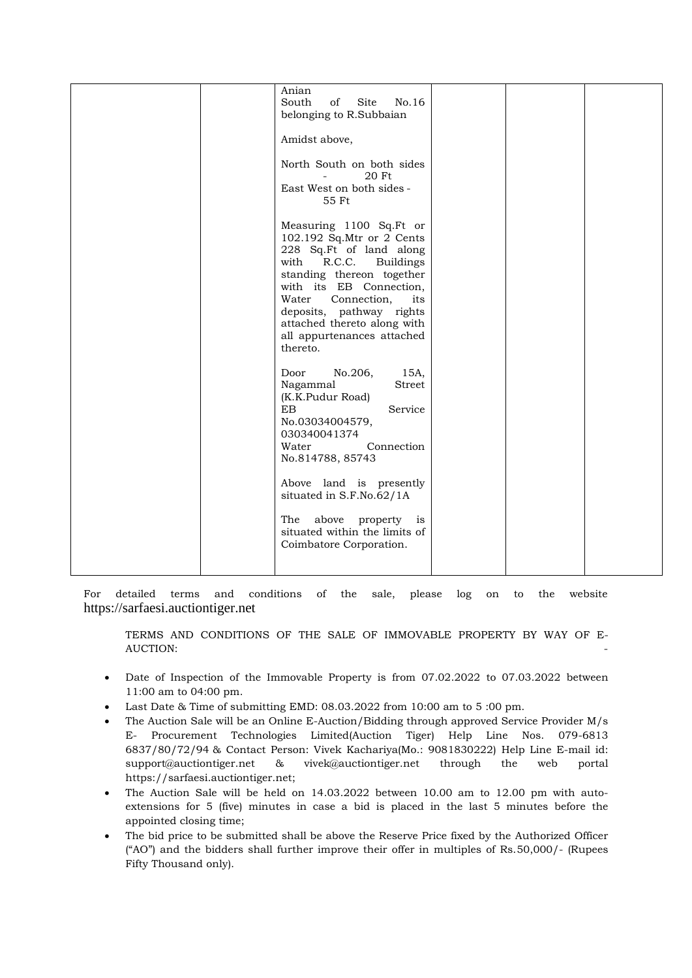|  | Anian<br>South<br>Site<br>No.16<br>of<br>belonging to R.Subbaian                                                                                                                                                                                                                                                  |  |  |
|--|-------------------------------------------------------------------------------------------------------------------------------------------------------------------------------------------------------------------------------------------------------------------------------------------------------------------|--|--|
|  | Amidst above,                                                                                                                                                                                                                                                                                                     |  |  |
|  | North South on both sides<br>20 Ft<br>$\sim$<br>East West on both sides -<br>55 Ft                                                                                                                                                                                                                                |  |  |
|  | Measuring 1100 Sq.Ft or<br>102.192 Sq.Mtr or 2 Cents<br>228 Sq.Ft of land along<br>R.C.C.<br>with<br><b>Buildings</b><br>standing thereon together<br>with its EB Connection,<br>Water<br>Connection,<br>its<br>deposits, pathway rights<br>attached thereto along with<br>all appurtenances attached<br>thereto. |  |  |
|  | No.206,<br>15A,<br>Door<br>Nagammal<br>Street<br>(K.K.Pudur Road)<br>EB<br>Service<br>No.03034004579,<br>030340041374<br>Water<br>Connection<br>No.814788, 85743                                                                                                                                                  |  |  |
|  | Above land is presently<br>situated in S.F.No.62/1A                                                                                                                                                                                                                                                               |  |  |
|  | above<br>The<br>property<br>is<br>situated within the limits of<br>Coimbatore Corporation.                                                                                                                                                                                                                        |  |  |
|  |                                                                                                                                                                                                                                                                                                                   |  |  |

For detailed terms and conditions of the sale, please log on to the website [https://sarfaesi.auctiontiger.net](https://sarfaesi.auctiontiger.net/)

TERMS AND CONDITIONS OF THE SALE OF IMMOVABLE PROPERTY BY WAY OF E-AUCTION: -

- Date of Inspection of the Immovable Property is from 07.02.2022 to 07.03.2022 between 11:00 am to 04:00 pm.
- Last Date & Time of submitting EMD: 08.03.2022 from 10:00 am to 5 :00 pm.
- The Auction Sale will be an Online E-Auction/Bidding through approved Service Provider M/s E- Procurement Technologies Limited(Auction Tiger) Help Line Nos. 079-6813 6837/80/72/94 & Contact Person: Vivek Kachariya(Mo.: 9081830222) Help Line E-mail id: [support@auctiontiger.net](mailto:support@auctiontiger.net) & vivek@auctiontiger.net through the web portal [https://sarfaesi.auctiontiger.net;](https://sarfaesi.auctiontiger.net/)
- The Auction Sale will be held on 14.03.2022 between 10.00 am to 12.00 pm with autoextensions for 5 (five) minutes in case a bid is placed in the last 5 minutes before the appointed closing time;
- The bid price to be submitted shall be above the Reserve Price fixed by the Authorized Officer ("AO") and the bidders shall further improve their offer in multiples of Rs.50,000/- (Rupees Fifty Thousand only).